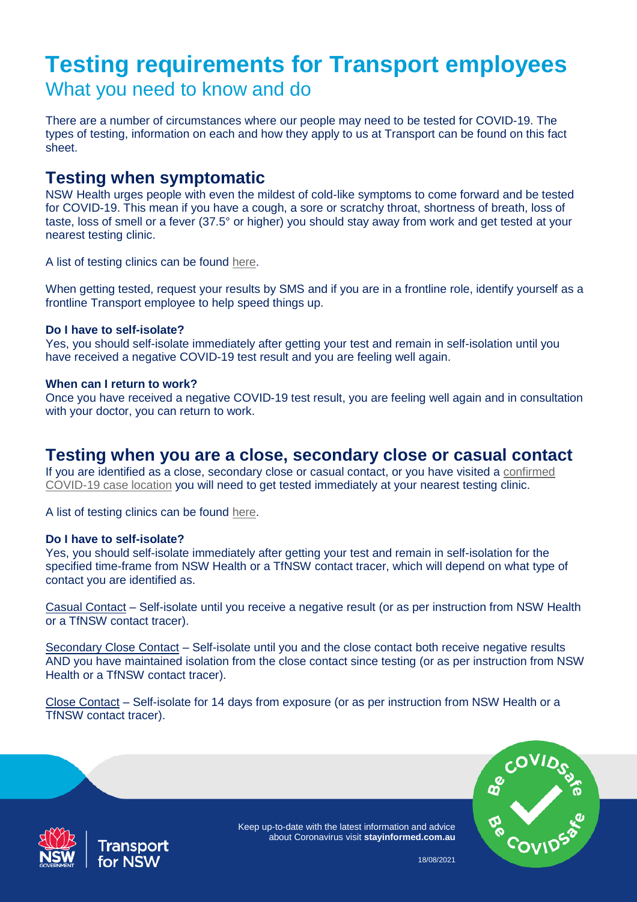# **Testing requirements for Transport employees**  What you need to know and do

There are a number of circumstances where our people may need to be tested for COVID-19. The types of testing, information on each and how they apply to us at Transport can be found on this fact sheet.

# **Testing when symptomatic**

NSW Health urges people with even the mildest of cold-like symptoms to come forward and be tested for COVID-19. This mean if you have a cough, a sore or scratchy throat, shortness of breath, loss of taste, loss of smell or a fever (37.5° or higher) you should stay away from work and get tested at your nearest testing clinic.

A list of testing clinics can be found [here.](https://www.nsw.gov.au/covid-19/how-to-protect-yourself-and-others/clinics)

When getting tested, request your results by SMS and if you are in a frontline role, identify yourself as a frontline Transport employee to help speed things up.

### **Do I have to self-isolate?**

Yes, you should self-isolate immediately after getting your test and remain in self-isolation until you have received a negative COVID-19 test result and you are feeling well again.

#### **When can I return to work?**

Once you have received a negative COVID-19 test result, you are feeling well again and in consultation with your doctor, you can return to work.

# **Testing when you are a close, secondary close or casual contact**

If you are identified as a close, secondary close or casual contact, or you have visited a [confirmed](https://www.nsw.gov.au/covid-19/latest-news-and-updates)  [COVID-19 case location](https://www.nsw.gov.au/covid-19/latest-news-and-updates) you will need to get tested immediately at your nearest testing clinic.

A list of testing clinics can be found [here.](https://www.nsw.gov.au/covid-19/how-to-protect-yourself-and-others/clinics)

#### **Do I have to self-isolate?**

Yes, you should self-isolate immediately after getting your test and remain in self-isolation for the specified time-frame from NSW Health or a TfNSW contact tracer, which will depend on what type of contact you are identified as.

Casual Contact – Self-isolate until you receive a negative result (or as per instruction from NSW Health or a TfNSW contact tracer).

Secondary Close Contact - Self-isolate until you and the close contact both receive negative results AND you have maintained isolation from the close contact since testing (or as per instruction from NSW Health or a TfNSW contact tracer).

Close Contact – Self-isolate for 14 days from exposure (or as per instruction from NSW Health or a TfNSW contact tracer).





Keep up-to-date with the latest information and advice about Coronavirus visit **stayinformed.com.au**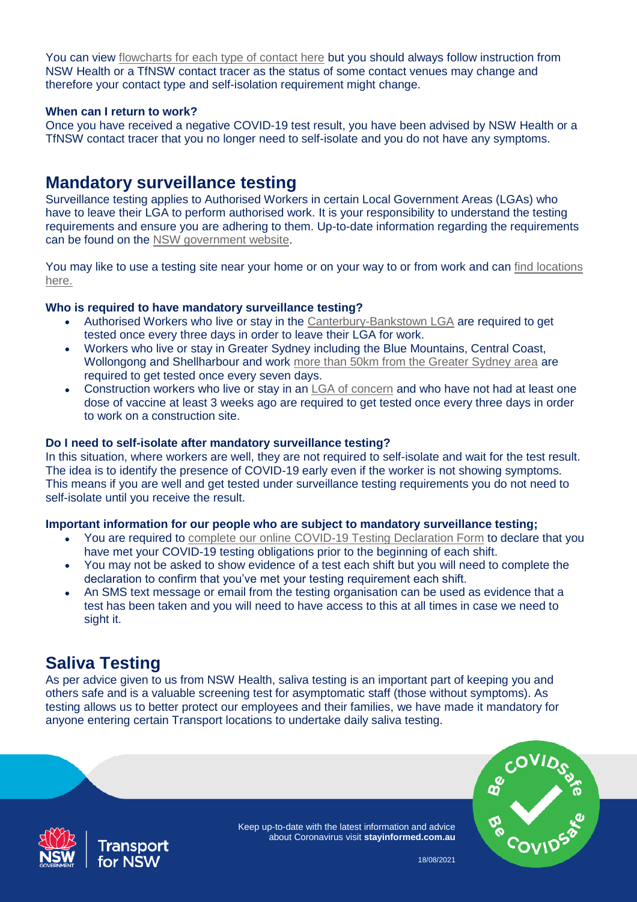You can view [flowcharts for each type of contact here](https://www.stayinformed.com.au/covid-19-flowchart) but you should always follow instruction from NSW Health or a TfNSW contact tracer as the status of some contact venues may change and therefore your contact type and self-isolation requirement might change.

### **When can I return to work?**

Once you have received a negative COVID-19 test result, you have been advised by NSW Health or a TfNSW contact tracer that you no longer need to self-isolate and you do not have any symptoms.

# **Mandatory surveillance testing**

Surveillance testing applies to Authorised Workers in certain Local Government Areas (LGAs) who have to leave their LGA to perform authorised work. It is your responsibility to understand the testing requirements and ensure you are adhering to them. Up-to-date information regarding the requirements can be found on the [NSW government website.](https://www.nsw.gov.au/covid-19/rules/authorised-workers/greater-sydney-workers)

You may like to use a testing site near your home or on your way to or from work and can [find locations](https://www.health.nsw.gov.au/Infectious/covid-19/Pages/clinics.aspx)  [here.](https://www.health.nsw.gov.au/Infectious/covid-19/Pages/clinics.aspx)

# **Who is required to have mandatory surveillance testing?**

- Authorised Workers who live or stay in the [Canterbury-Bankstown LGA](https://www.nsw.gov.au/covid-19/rules/authorised-workers/greater-sydney-workers#canterbury-bankstown-workers) are required to get tested once every three days in order to leave their LGA for work.
- Workers who live or stay in Greater Sydney including the Blue Mountains, Central Coast, Wollongong and Shellharbour and work [more than 50km from the Greater Sydney area](https://www.nsw.gov.au/covid-19/rules/authorised-workers/greater-sydney-workers#greater-sydney-map) are required to get tested once every seven days.
- Construction workers who live or stay in an [LGA of concern](https://www.nsw.gov.au/covid-19/rules/affected-area#map-local-government-areas-of-concern) and who have not had at least one dose of vaccine at least 3 weeks ago are required to get tested once every three days in order to work on a construction site.

## **Do I need to self-isolate after mandatory surveillance testing?**

In this situation, where workers are well, they are not required to self-isolate and wait for the test result. The idea is to identify the presence of COVID-19 early even if the worker is not showing symptoms. This means if you are well and get tested under surveillance testing requirements you do not need to self-isolate until you receive the result.

### **Important information for our people who are subject to mandatory surveillance testing;**

- You are required to [complete our online COVID-19 Testing Declaration Form](file://///corp.trans.internal/prof/UserProfiles/cdias1/Documents/SCEM/complete%20our%20online%20COVID-19%20Testing%20Declaration%20Form(External%20link)) to declare that you have met your COVID-19 testing obligations prior to the beginning of each shift.
- You may not be asked to show evidence of a test each shift but you will need to complete the declaration to confirm that you've met your testing requirement each shift.
- An SMS text message or email from the testing organisation can be used as evidence that a test has been taken and you will need to have access to this at all times in case we need to sight it.

# **Saliva Testing**

As per advice given to us from NSW Health, saliva testing is an important part of keeping you and others safe and is a valuable screening test for asymptomatic staff (those without symptoms). As testing allows us to better protect our employees and their families, we have made it mandatory for anyone entering certain Transport locations to undertake daily saliva testing.